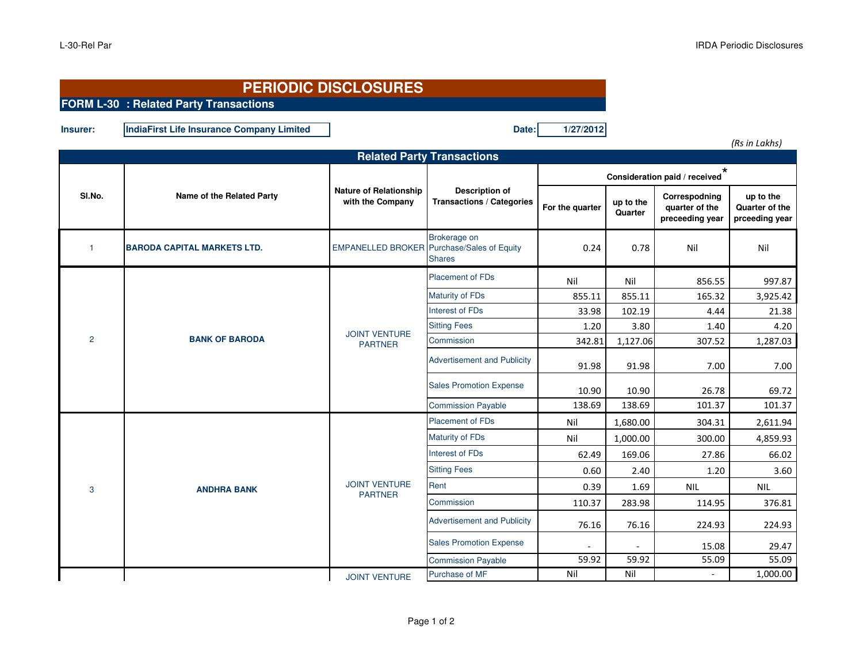|                | <b>PERIODIC DISCLOSURES</b><br>FORM L-30 : Related Party Transactions |                                                   |                                                           |                                          |                      |                                                    |                                               |
|----------------|-----------------------------------------------------------------------|---------------------------------------------------|-----------------------------------------------------------|------------------------------------------|----------------------|----------------------------------------------------|-----------------------------------------------|
| Insurer:       | IndiaFirst Life Insurance Company Limited                             |                                                   | Date:                                                     | 1/27/2012                                |                      |                                                    |                                               |
|                |                                                                       |                                                   | <b>Related Party Transactions</b>                         |                                          |                      |                                                    | (Rs in Lakhs)                                 |
| SI.No.         | Name of the Related Party                                             | <b>Nature of Relationship</b><br>with the Company | <b>Description of</b><br><b>Transactions / Categories</b> | $\star$<br>Consideration paid / received |                      |                                                    |                                               |
|                |                                                                       |                                                   |                                                           | For the quarter                          | up to the<br>Quarter | Correspodning<br>quarter of the<br>preceeding year | up to the<br>Quarter of the<br>prceeding year |
| $\overline{1}$ | <b>BARODA CAPITAL MARKETS LTD.</b>                                    | <b>EMPANELLED BROKER</b>                          | Brokerage on<br>Purchase/Sales of Equity<br><b>Shares</b> | 0.24                                     | 0.78                 | Nil                                                | Nil                                           |
|                | <b>BANK OF BARODA</b>                                                 | <b>JOINT VENTURE</b><br><b>PARTNER</b>            | <b>Placement of FDs</b>                                   | Nil                                      | Nil                  | 856.55                                             | 997.87                                        |
| $\overline{2}$ |                                                                       |                                                   | Maturity of FDs                                           | 855.11                                   | 855.11               | 165.32                                             | 3,925.42                                      |
|                |                                                                       |                                                   | Interest of FDs                                           | 33.98                                    | 102.19               | 4.44                                               | 21.38                                         |
|                |                                                                       |                                                   | <b>Sitting Fees</b>                                       | 1.20                                     | 3.80                 | 1.40                                               | 4.20                                          |
|                |                                                                       |                                                   | Commission                                                | 342.81                                   | 1,127.06             | 307.52                                             | 1,287.03                                      |
|                |                                                                       |                                                   | <b>Advertisement and Publicity</b>                        | 91.98                                    | 91.98                | 7.00                                               | 7.00                                          |
|                |                                                                       |                                                   | <b>Sales Promotion Expense</b>                            | 10.90                                    | 10.90                | 26.78                                              | 69.72                                         |
|                |                                                                       |                                                   | <b>Commission Payable</b>                                 | 138.69                                   | 138.69               | 101.37                                             | 101.37                                        |
|                | <b>ANDHRA BANK</b>                                                    | <b>JOINT VENTURE</b><br><b>PARTNER</b>            | <b>Placement of FDs</b>                                   | Nil                                      | 1,680.00             | 304.31                                             | 2,611.94                                      |
|                |                                                                       |                                                   | Maturity of FDs                                           | Nil                                      | 1,000.00             | 300.00                                             | 4,859.93                                      |
|                |                                                                       |                                                   | Interest of FDs                                           | 62.49                                    | 169.06               | 27.86                                              | 66.02                                         |
| 3              |                                                                       |                                                   | <b>Sitting Fees</b>                                       | 0.60                                     | 2.40                 | 1.20                                               | 3.60                                          |
|                |                                                                       |                                                   | Rent                                                      | 0.39                                     | 1.69                 | <b>NIL</b>                                         | <b>NIL</b>                                    |
|                |                                                                       |                                                   | Commission                                                | 110.37                                   | 283.98               | 114.95                                             | 376.81                                        |
|                |                                                                       |                                                   | <b>Advertisement and Publicity</b>                        | 76.16                                    | 76.16                | 224.93                                             | 224.93                                        |
|                |                                                                       |                                                   | <b>Sales Promotion Expense</b>                            | 59.92                                    | 59.92                | 15.08<br>55.09                                     | 29.47<br>55.09                                |
|                |                                                                       |                                                   | <b>Commission Payable</b><br>Purchase of MF               | Nil                                      | Nil                  | $\sim$                                             | 1,000.00                                      |
|                |                                                                       | <b>JOINT VENTURE</b>                              |                                                           |                                          |                      |                                                    |                                               |

JOINT VENTURE

F Nil Nil Nil - 1,000.00